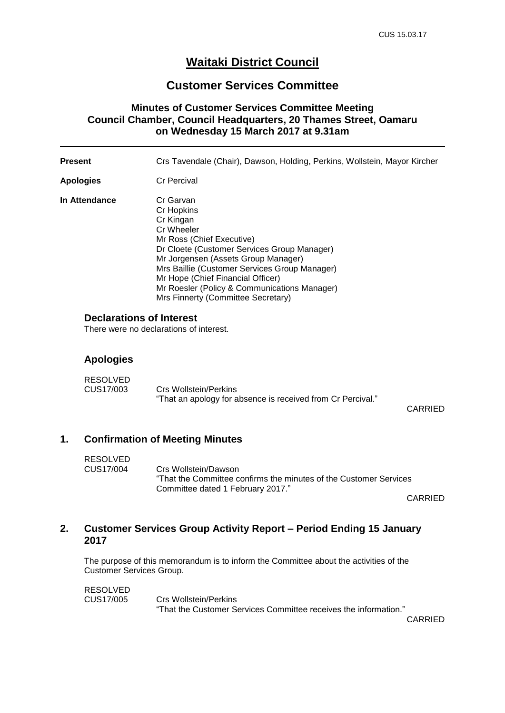# **Waitaki District Council**

### **Customer Services Committee**

### **Minutes of Customer Services Committee Meeting Council Chamber, Council Headquarters, 20 Thames Street, Oamaru on Wednesday 15 March 2017 at 9.31am**

| <b>Present</b>                  | Crs Tavendale (Chair), Dawson, Holding, Perkins, Wollstein, Mayor Kircher                                                                                                                                                                                                                                                                         |
|---------------------------------|---------------------------------------------------------------------------------------------------------------------------------------------------------------------------------------------------------------------------------------------------------------------------------------------------------------------------------------------------|
| Apologies                       | <b>Cr Percival</b>                                                                                                                                                                                                                                                                                                                                |
| In Attendance                   | Cr Garvan<br>Cr Hopkins<br>Cr Kingan<br>Cr Wheeler<br>Mr Ross (Chief Executive)<br>Dr Cloete (Customer Services Group Manager)<br>Mr Jorgensen (Assets Group Manager)<br>Mrs Baillie (Customer Services Group Manager)<br>Mr Hope (Chief Financial Officer)<br>Mr Roesler (Policy & Communications Manager)<br>Mrs Finnerty (Committee Secretary) |
| <b>Declarations of Interest</b> |                                                                                                                                                                                                                                                                                                                                                   |

There were no declarations of interest.

#### **Apologies**

| <b>RESOLVED</b> |                                                             |
|-----------------|-------------------------------------------------------------|
| CUS17/003       | Crs Wollstein/Perkins                                       |
|                 | "That an apology for absence is received from Cr Percival." |

CARRIED

### **1. Confirmation of Meeting Minutes**

| RESOLVED  |                                                                    |
|-----------|--------------------------------------------------------------------|
| CUS17/004 | Crs Wollstein/Dawson                                               |
|           | "That the Committee confirms the minutes of the Customer Services" |
|           | Committee dated 1 February 2017."                                  |

CARRIED

## **2. Customer Services Group Activity Report – Period Ending 15 January 2017**

The purpose of this memorandum is to inform the Committee about the activities of the Customer Services Group.

RESOLVED<br>CUS17/005 Crs Wollstein/Perkins "That the Customer Services Committee receives the information."

CARRIED